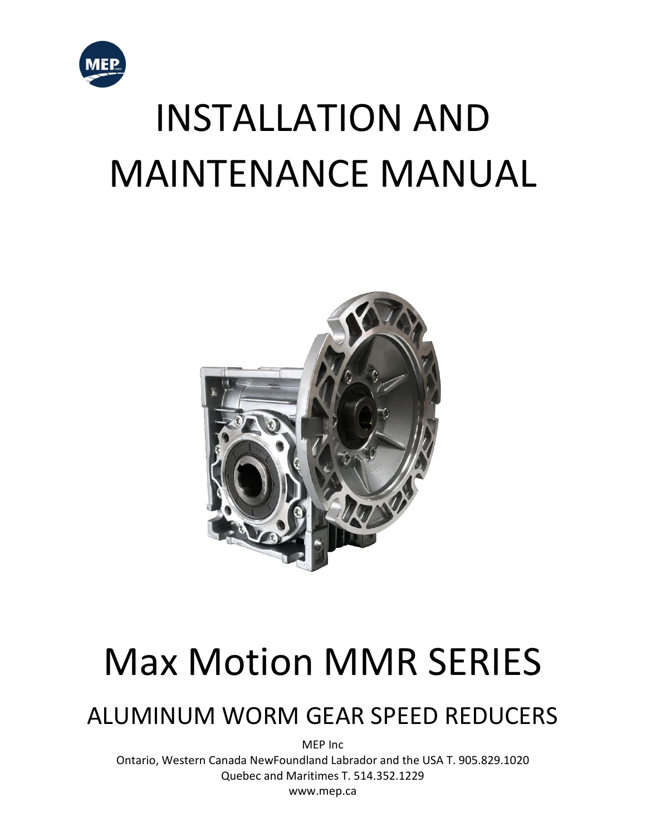

# INSTALLATION AND MAINTENANCE MANUAL



## Max Motion MMR SERIES

### ALUMINUM WORM GEAR SPEED REDUCERS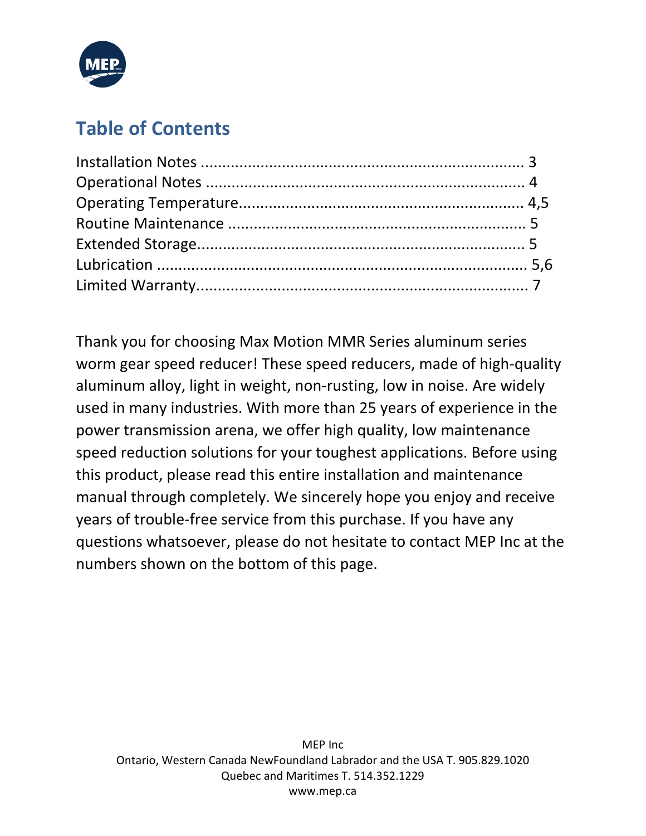

#### **Table of Contents**

Thank you for choosing Max Motion MMR Series aluminum series worm gear speed reducer! These speed reducers, made of high-quality aluminum alloy, light in weight, non-rusting, low in noise. Are widely used in many industries. With more than 25 years of experience in the power transmission arena, we offer high quality, low maintenance speed reduction solutions for your toughest applications. Before using this product, please read this entire installation and maintenance manual through completely. We sincerely hope you enjoy and receive years of trouble-free service from this purchase. If you have any questions whatsoever, please do not hesitate to contact MEP Inc at the numbers shown on the bottom of this page.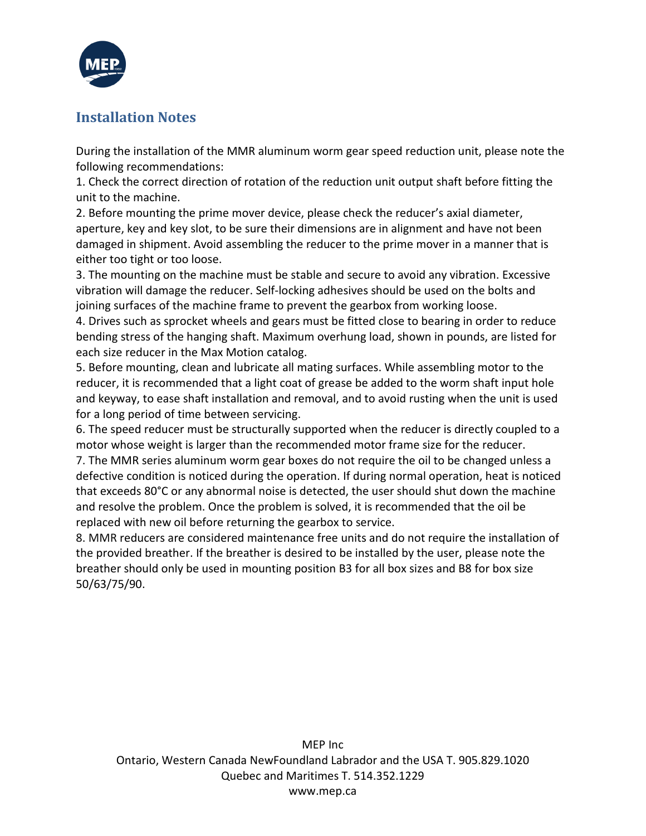

#### **Installation Notes**

During the installation of the MMR aluminum worm gear speed reduction unit, please note the following recommendations:

1. Check the correct direction of rotation of the reduction unit output shaft before fitting the unit to the machine.

2. Before mounting the prime mover device, please check the reducer's axial diameter, aperture, key and key slot, to be sure their dimensions are in alignment and have not been damaged in shipment. Avoid assembling the reducer to the prime mover in a manner that is either too tight or too loose.

3. The mounting on the machine must be stable and secure to avoid any vibration. Excessive vibration will damage the reducer. Self-locking adhesives should be used on the bolts and joining surfaces of the machine frame to prevent the gearbox from working loose.

4. Drives such as sprocket wheels and gears must be fitted close to bearing in order to reduce bending stress of the hanging shaft. Maximum overhung load, shown in pounds, are listed for each size reducer in the Max Motion catalog.

5. Before mounting, clean and lubricate all mating surfaces. While assembling motor to the reducer, it is recommended that a light coat of grease be added to the worm shaft input hole and keyway, to ease shaft installation and removal, and to avoid rusting when the unit is used for a long period of time between servicing.

6. The speed reducer must be structurally supported when the reducer is directly coupled to a motor whose weight is larger than the recommended motor frame size for the reducer.

7. The MMR series aluminum worm gear boxes do not require the oil to be changed unless a defective condition is noticed during the operation. If during normal operation, heat is noticed that exceeds 80°C or any abnormal noise is detected, the user should shut down the machine and resolve the problem. Once the problem is solved, it is recommended that the oil be replaced with new oil before returning the gearbox to service.

8. MMR reducers are considered maintenance free units and do not require the installation of the provided breather. If the breather is desired to be installed by the user, please note the breather should only be used in mounting position B3 for all box sizes and B8 for box size 50/63/75/90.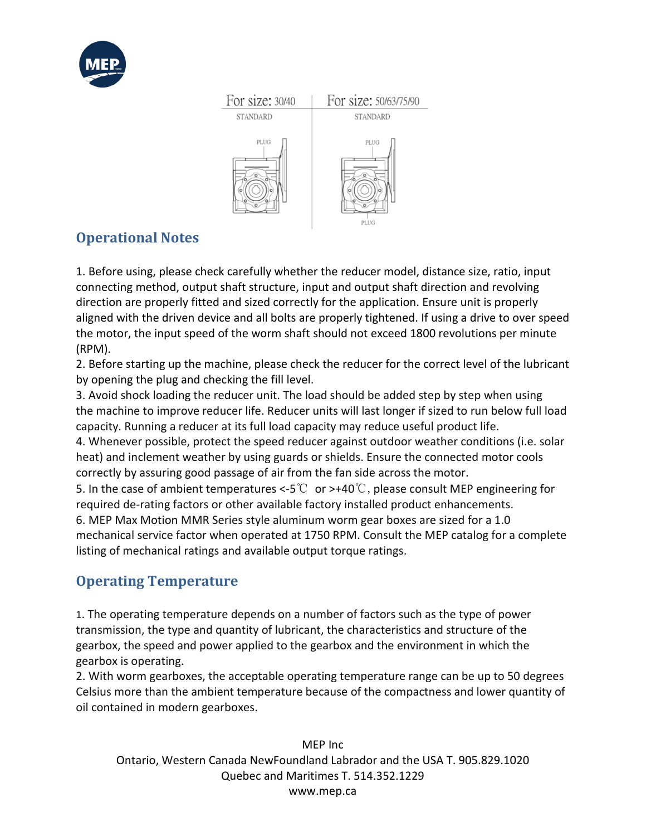



#### **Operational Notes**

1. Before using, please check carefully whether the reducer model, distance size, ratio, input connecting method, output shaft structure, input and output shaft direction and revolving direction are properly fitted and sized correctly for the application. Ensure unit is properly aligned with the driven device and all bolts are properly tightened. If using a drive to over speed the motor, the input speed of the worm shaft should not exceed 1800 revolutions per minute (RPM).

2. Before starting up the machine, please check the reducer for the correct level of the lubricant by opening the plug and checking the fill level.

3. Avoid shock loading the reducer unit. The load should be added step by step when using the machine to improve reducer life. Reducer units will last longer if sized to run below full load capacity. Running a reducer at its full load capacity may reduce useful product life.

4. Whenever possible, protect the speed reducer against outdoor weather conditions (i.e. solar heat) and inclement weather by using guards or shields. Ensure the connected motor cools correctly by assuring good passage of air from the fan side across the motor.

5. In the case of ambient temperatures <-5℃ or >+40℃, please consult MEP engineering for required de-rating factors or other available factory installed product enhancements.

6. MEP Max Motion MMR Series style aluminum worm gear boxes are sized for a 1.0 mechanical service factor when operated at 1750 RPM. Consult the MEP catalog for a complete listing of mechanical ratings and available output torque ratings.

#### **Operating Temperature**

1. The operating temperature depends on a number of factors such as the type of power transmission, the type and quantity of lubricant, the characteristics and structure of the gearbox, the speed and power applied to the gearbox and the environment in which the gearbox is operating.

2. With worm gearboxes, the acceptable operating temperature range can be up to 50 degrees Celsius more than the ambient temperature because of the compactness and lower quantity of oil contained in modern gearboxes.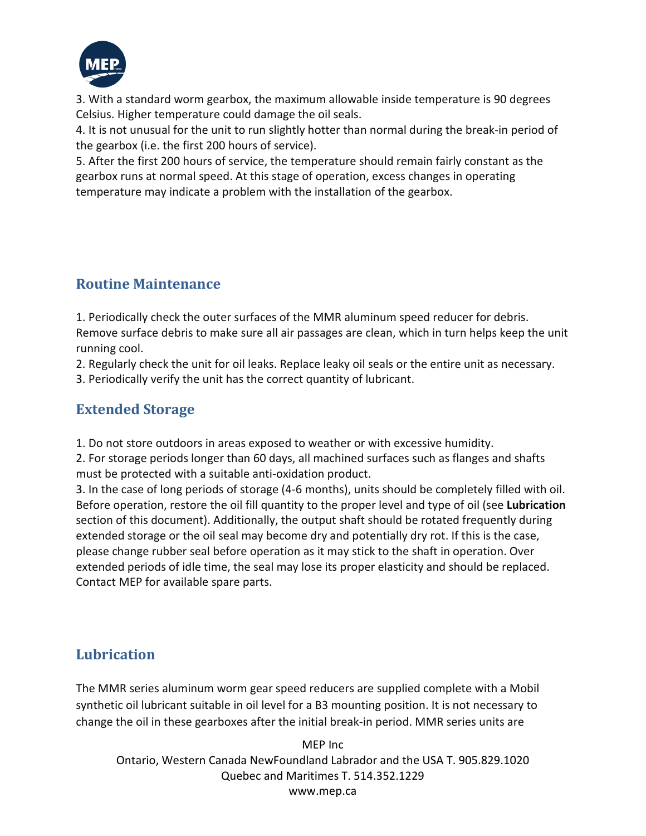

3. With a standard worm gearbox, the maximum allowable inside temperature is 90 degrees Celsius. Higher temperature could damage the oil seals.

4. It is not unusual for the unit to run slightly hotter than normal during the break-in period of the gearbox (i.e. the first 200 hours of service).

5. After the first 200 hours of service, the temperature should remain fairly constant as the gearbox runs at normal speed. At this stage of operation, excess changes in operating temperature may indicate a problem with the installation of the gearbox.

#### **Routine Maintenance**

1. Periodically check the outer surfaces of the MMR aluminum speed reducer for debris.

Remove surface debris to make sure all air passages are clean, which in turn helps keep the unit running cool.

2. Regularly check the unit for oil leaks. Replace leaky oil seals or the entire unit as necessary.

3. Periodically verify the unit has the correct quantity of lubricant.

#### **Extended Storage**

1. Do not store outdoors in areas exposed to weather or with excessive humidity.

2. For storage periods longer than 60 days, all machined surfaces such as flanges and shafts must be protected with a suitable anti-oxidation product.

3. In the case of long periods of storage (4-6 months), units should be completely filled with oil. Before operation, restore the oil fill quantity to the proper level and type of oil (see **Lubrication**  section of this document). Additionally, the output shaft should be rotated frequently during extended storage or the oil seal may become dry and potentially dry rot. If this is the case, please change rubber seal before operation as it may stick to the shaft in operation. Over extended periods of idle time, the seal may lose its proper elasticity and should be replaced. Contact MEP for available spare parts.

#### **Lubrication**

The MMR series aluminum worm gear speed reducers are supplied complete with a Mobil synthetic oil lubricant suitable in oil level for a B3 mounting position. It is not necessary to change the oil in these gearboxes after the initial break-in period. MMR series units are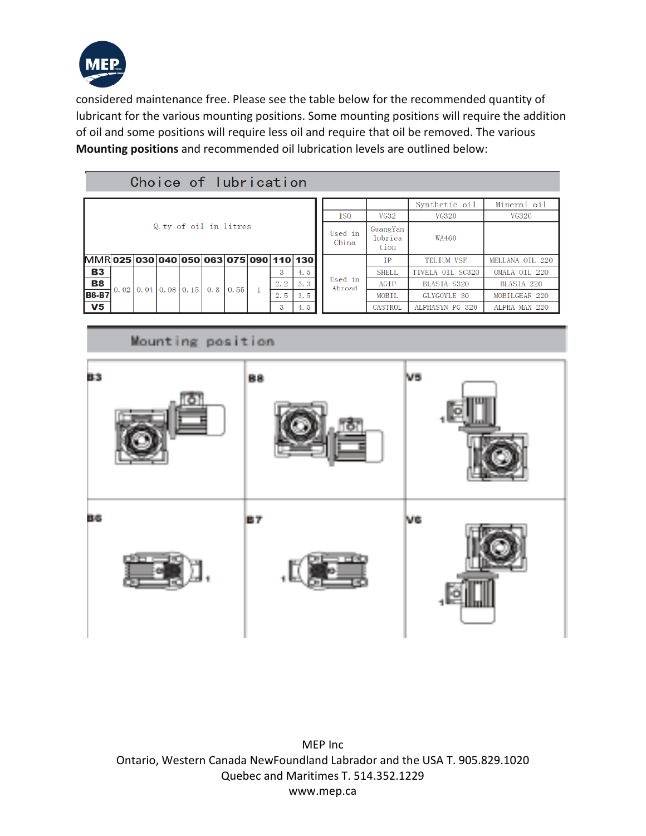

considered maintenance free. Please see the table below for the recommended quantity of lubricant for the various mounting positions. Some mounting positions will require the addition of oil and some positions will require less oil and require that oil be removed. The various **Mounting positions** and recommended oil lubrication levels are outlined below:

#### Choice of lubrication

|                                         |                   |  |  |                      |     |      |  |     |                  |                             | Synthetic oil | Mineral oil       |                 |
|-----------------------------------------|-------------------|--|--|----------------------|-----|------|--|-----|------------------|-----------------------------|---------------|-------------------|-----------------|
|                                         |                   |  |  |                      |     |      |  |     | <b>ISO</b>       | <b>VG32</b>                 | VG320         | VG320             |                 |
| Q ty of oil in litres                   |                   |  |  |                      |     |      |  |     | Used in<br>China | GuangYan<br>lubrica<br>tion | WA460         |                   |                 |
| MMR 025 030 040 050 063 075 090 110 130 |                   |  |  |                      |     |      |  |     |                  |                             | <b>TP</b>     | <b>TELTUM VSF</b> | MELLANA OIL 220 |
| <b>B3</b>                               |                   |  |  | $0.04$   0.08   0.15 | 0.3 | 0.55 |  | 3   | 4.5              | Used in<br>Abroad           | <b>SHELL</b>  | TIVELA OIL SC320  | OMALA OIL 220   |
| <b>B8</b>                               | 0.02 <sub>1</sub> |  |  |                      |     |      |  | 2.2 | 3.3              |                             | AGIP          | BLASIA S320       | BLASIA 220      |
| <b>B6-B7</b><br>V <sub>5</sub>          |                   |  |  |                      |     |      |  | 2.5 | 3.5              |                             | MOBIL         | GLYGOYLE 30       | MOBILGEAR 220   |
|                                         |                   |  |  |                      |     |      |  | 3   | 4.5              |                             | CASTROL       | ALPHASYN PG 320   | ALPHA MAX 220   |

#### Mounting position